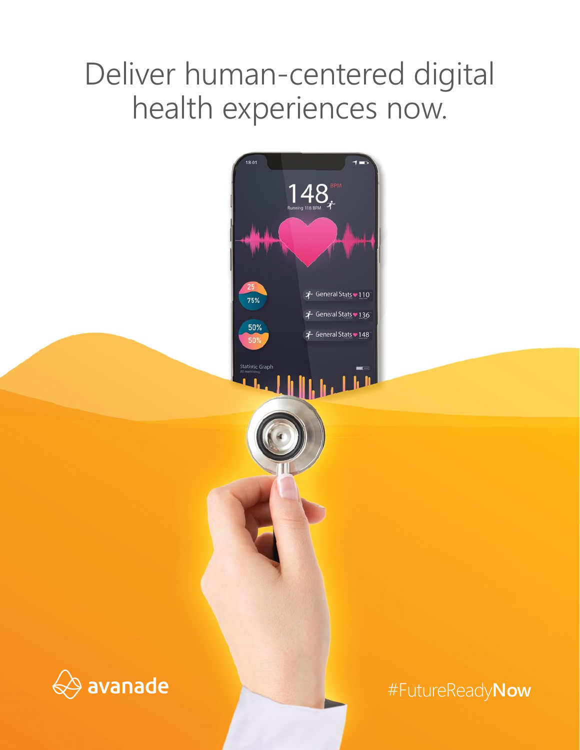## Deliver human-centered digital health experiences now.

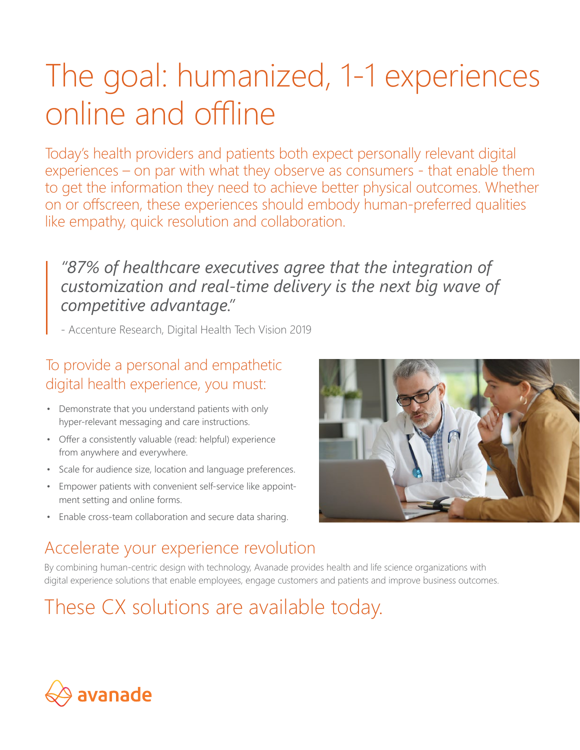## The goal: humanized, 1-1 experiences online and offline

Today's health providers and patients both expect personally relevant digital experiences – on par with what they observe as consumers - that enable them to get the information they need to achieve better physical outcomes. Whether on or offscreen, these experiences should embody human-preferred qualities like empathy, quick resolution and collaboration.

#### *"87% of healthcare executives agree that the integration of customization and real-time delivery is the next big wave of competitive advantage."*

- Accenture Research, Digital Health Tech Vision 2019

#### To provide a personal and empathetic digital health experience, you must:

- Demonstrate that you understand patients with only hyper-relevant messaging and care instructions.
- • Offer a consistently valuable (read: helpful) experience from anywhere and everywhere.
- Scale for audience size, location and language preferences.
- • Empower patients with convenient self-service like appoint- ment setting and online forms.
- Enable cross-team collaboration and secure data sharing.



### Accelerate your experience revolution

By combining human-centric design with technology, Avanade provides health and life science organizations with digital experience solutions that enable employees, engage customers and patients and improve business outcomes.

### These CX solutions are available today.

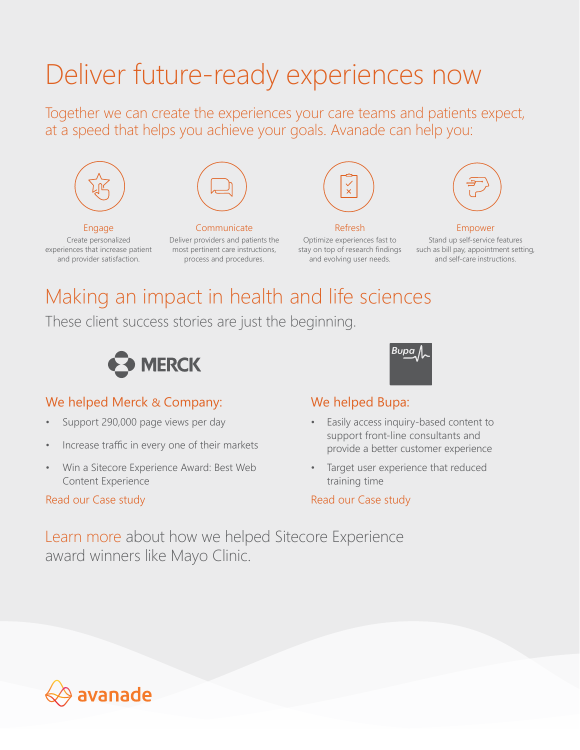## Deliver future-ready experiences now

Together we can create the experiences your care teams and patients expect, at a speed that helps you achieve your goals. Avanade can help you:





Engage Create personalized experiences that increase patient and provider satisfaction.

**Communicate** Deliver providers and patients the most pertinent care instructions, process and procedures.



Refresh Optimize experiences fast to stay on top of research findings and evolving user needs.



Empower Stand up self-service features such as bill pay, appointment setting, and self-care instructions.

### Making an impact in health and life sciences

These client success stories are just the beginning.



#### We helped Merck & Company:

- Support 290,000 page views per day
- Increase traffic in every one of their markets
- Win a Sitecore Experience Award: Best Web Content Experience

#### [Read our Case study](https://www.avanade.com/en-us/clients/merck)



#### We helped Bupa:

- • Easily access inquiry-based content to support front-line consultants and provide a better customer experience
- Target user experience that reduced training time

[Read our Case study](https://www.avanade.com/en-us/clients/bupa)

[Learn more about how we helped Sitecore Experience](https://www.avanade.com/en/about-avanade/partnerships/sitecore/sitecore-experience-awards) award winners like Mayo Clinic.